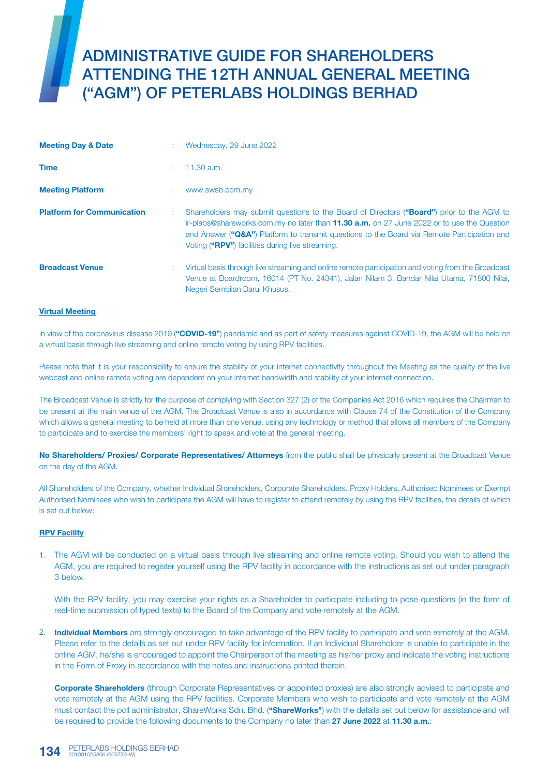# ADMINISTRATIVE GUIDE FOR SHAREHOLDERS ATTENDING THE 12TH ANNUAL GENERAL MEETING ("AGM") OF PETERLABS HOLDINGS BERHAD

| <b>Meeting Day &amp; Date</b>     | Wednesday, 29 June 2022                                                                                                                                                                                                                                                                                                                           |
|-----------------------------------|---------------------------------------------------------------------------------------------------------------------------------------------------------------------------------------------------------------------------------------------------------------------------------------------------------------------------------------------------|
| <b>Time</b>                       | $11.30$ a.m.                                                                                                                                                                                                                                                                                                                                      |
| <b>Meeting Platform</b>           | www.swsb.com.my                                                                                                                                                                                                                                                                                                                                   |
| <b>Platform for Communication</b> | Shareholders may submit questions to the Board of Directors ("Board") prior to the AGM to<br>ir-plabs@shareworks.com.my no later than <b>11.30 a.m.</b> on 27 June 2022 or to use the Question<br>and Answer ("Q&A") Platform to transmit questions to the Board via Remote Participation and<br>Voting ("RPV") facilities during live streaming. |
| <b>Broadcast Venue</b>            | Virtual basis through live streaming and online remote participation and voting from the Broadcast<br>Venue at Boardroom, 16014 (PT No. 24341), Jalan Nilam 3, Bandar Nilai Utama, 71800 Nilai,<br>Negeri Sembilan Darul Khusus.                                                                                                                  |

### Virtual Meeting

In view of the coronavirus disease 2019 ("COVID-19") pandemic and as part of safety measures against COVID-19, the AGM will be held on a virtual basis through live streaming and online remote voting by using RPV facilities.

Please note that it is your responsibility to ensure the stability of your internet connectivity throughout the Meeting as the quality of the live webcast and online remote voting are dependent on your internet bandwidth and stability of your internet connection.

The Broadcast Venue is strictly for the purpose of complying with Section 327 (2) of the Companies Act 2016 which requires the Chairman to be present at the main venue of the AGM. The Broadcast Venue is also in accordance with Clause 74 of the Constitution of the Company which allows a general meeting to be held at more than one venue, using any technology or method that allows all members of the Company to participate and to exercise the members' right to speak and vote at the general meeting.

No Shareholders/ Proxies/ Corporate Representatives/ Attorneys from the public shall be physically present at the Broadcast Venue on the day of the AGM.

All Shareholders of the Company, whether Individual Shareholders, Corporate Shareholders, Proxy Holders, Authorised Nominees or Exempt Authorised Nominees who wish to participate the AGM will have to register to attend remotely by using the RPV facilities, the details of which is set out below:

### RPV Facility

1. The AGM will be conducted on a virtual basis through live streaming and online remote voting. Should you wish to attend the AGM, you are required to register yourself using the RPV facility in accordance with the instructions as set out under paragraph 3 below.

With the RPV facility, you may exercise your rights as a Shareholder to participate including to pose questions (in the form of real-time submission of typed texts) to the Board of the Company and vote remotely at the AGM.

2. Individual Members are strongly encouraged to take advantage of the RPV facility to participate and vote remotely at the AGM. Please refer to the details as set out under RPV facility for information. If an Individual Shareholder is unable to participate in the online AGM, he/she is encouraged to appoint the Chairperson of the meeting as his/her proxy and indicate the voting instructions in the Form of Proxy in accordance with the notes and instructions printed therein.

Corporate Shareholders (through Corporate Representatives or appointed proxies) are also strongly advised to participate and vote remotely at the AGM using the RPV facilities. Corporate Members who wish to participate and vote remotely at the AGM must contact the poll administrator, ShareWorks Sdn. Bhd. ("ShareWorks") with the details set out below for assistance and will be required to provide the following documents to the Company no later than 27 June 2022 at 11.30 a.m.: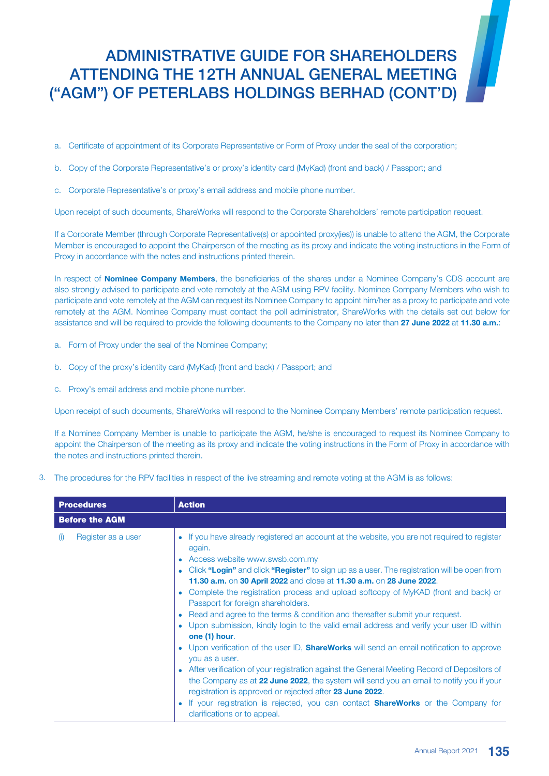# ADMINISTRATIVE GUIDE FOR SHAREHOLDERS ATTENDING THE 12TH ANNUAL GENERAL MEETING ("AGM") OF PETERLABS HOLDINGS BERHAD (CONT'D)

- a. Certificate of appointment of its Corporate Representative or Form of Proxy under the seal of the corporation;
- b. Copy of the Corporate Representative's or proxy's identity card (MyKad) (front and back) / Passport; and
- c. Corporate Representative's or proxy's email address and mobile phone number.

Upon receipt of such documents, ShareWorks will respond to the Corporate Shareholders' remote participation request.

If a Corporate Member (through Corporate Representative(s) or appointed proxy(ies)) is unable to attend the AGM, the Corporate Member is encouraged to appoint the Chairperson of the meeting as its proxy and indicate the voting instructions in the Form of Proxy in accordance with the notes and instructions printed therein.

In respect of **Nominee Company Members**, the beneficiaries of the shares under a Nominee Company's CDS account are also strongly advised to participate and vote remotely at the AGM using RPV facility. Nominee Company Members who wish to participate and vote remotely at the AGM can request its Nominee Company to appoint him/her as a proxy to participate and vote remotely at the AGM. Nominee Company must contact the poll administrator, ShareWorks with the details set out below for assistance and will be required to provide the following documents to the Company no later than 27 June 2022 at 11.30 a.m.:

- a. Form of Proxy under the seal of the Nominee Company;
- b. Copy of the proxy's identity card (MyKad) (front and back) / Passport; and
- c. Proxy's email address and mobile phone number.

Upon receipt of such documents, ShareWorks will respond to the Nominee Company Members' remote participation request.

If a Nominee Company Member is unable to participate the AGM, he/she is encouraged to request its Nominee Company to appoint the Chairperson of the meeting as its proxy and indicate the voting instructions in the Form of Proxy in accordance with the notes and instructions printed therein.

3. The procedures for the RPV facilities in respect of the live streaming and remote voting at the AGM is as follows:

| <b>Procedures</b>         | <b>Action</b>                                                                                                                                                                                                                                                                                                                                                                                                                                                                                                                                                                                                                                                                                                                                                                                                                                                                                                                                                                                                                                                                                                                                          |  |  |  |
|---------------------------|--------------------------------------------------------------------------------------------------------------------------------------------------------------------------------------------------------------------------------------------------------------------------------------------------------------------------------------------------------------------------------------------------------------------------------------------------------------------------------------------------------------------------------------------------------------------------------------------------------------------------------------------------------------------------------------------------------------------------------------------------------------------------------------------------------------------------------------------------------------------------------------------------------------------------------------------------------------------------------------------------------------------------------------------------------------------------------------------------------------------------------------------------------|--|--|--|
| <b>Before the AGM</b>     |                                                                                                                                                                                                                                                                                                                                                                                                                                                                                                                                                                                                                                                                                                                                                                                                                                                                                                                                                                                                                                                                                                                                                        |  |  |  |
| Register as a user<br>(1) | • If you have already registered an account at the website, you are not required to register<br>again.<br>• Access website www.swsb.com.my<br>Click "Login" and click "Register" to sign up as a user. The registration will be open from<br>11.30 a.m. on 30 April 2022 and close at 11.30 a.m. on 28 June 2022.<br>• Complete the registration process and upload softcopy of MyKAD (front and back) or<br>Passport for foreign shareholders.<br>• Read and agree to the terms & condition and thereafter submit your request.<br>• Upon submission, kindly login to the valid email address and verify your user ID within<br>one (1) hour.<br>• Upon verification of the user ID, <b>ShareWorks</b> will send an email notification to approve<br>you as a user.<br>• After verification of your registration against the General Meeting Record of Depositors of<br>the Company as at 22 June 2022, the system will send you an email to notify you if your<br>registration is approved or rejected after 23 June 2022.<br>If your registration is rejected, you can contact <b>ShareWorks</b> or the Company for<br>clarifications or to appeal. |  |  |  |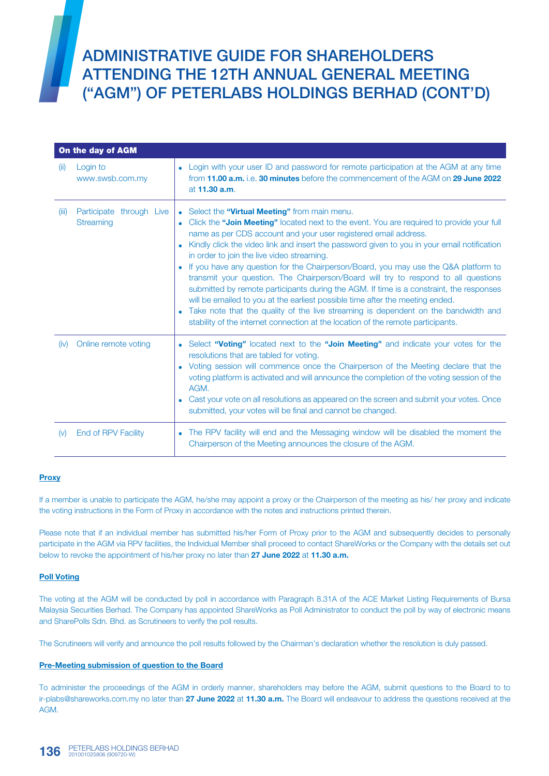ADMINISTRATIVE GUIDE FOR SHAREHOLDERS ATTENDING THE 12TH ANNUAL GENERAL MEETING ("AGM") OF PETERLABS HOLDINGS BERHAD (CONT'D)

|       | On the day of AGM                     |                                                                                                                                                                                                                                                                                                                                                                                                                                                                                                                                                                                                                                                                                                                                                                                                                                                                                              |  |  |
|-------|---------------------------------------|----------------------------------------------------------------------------------------------------------------------------------------------------------------------------------------------------------------------------------------------------------------------------------------------------------------------------------------------------------------------------------------------------------------------------------------------------------------------------------------------------------------------------------------------------------------------------------------------------------------------------------------------------------------------------------------------------------------------------------------------------------------------------------------------------------------------------------------------------------------------------------------------|--|--|
| (ii)  | Login to<br>www.swsb.com.my           | Login with your user ID and password for remote participation at the AGM at any time<br>from <b>11.00 a.m.</b> i.e. 30 minutes before the commencement of the AGM on 29 June 2022<br>at 11.30 a.m.                                                                                                                                                                                                                                                                                                                                                                                                                                                                                                                                                                                                                                                                                           |  |  |
| (iii) | Participate through Live<br>Streaming | Select the "Virtual Meeting" from main menu.<br>Click the "Join Meeting" located next to the event. You are required to provide your full<br>name as per CDS account and your user registered email address.<br>Kindly click the video link and insert the password given to you in your email notification<br>in order to join the live video streaming.<br>If you have any question for the Chairperson/Board, you may use the Q&A platform to<br>transmit your question. The Chairperson/Board will try to respond to all questions<br>submitted by remote participants during the AGM. If time is a constraint, the responses<br>will be emailed to you at the earliest possible time after the meeting ended.<br>Take note that the quality of the live streaming is dependent on the bandwidth and<br>stability of the internet connection at the location of the remote participants. |  |  |
| (iv)  | Online remote voting                  | Select "Voting" located next to the "Join Meeting" and indicate your votes for the<br>$\bullet$<br>resolutions that are tabled for voting.<br>Voting session will commence once the Chairperson of the Meeting declare that the<br>voting platform is activated and will announce the completion of the voting session of the<br>AGM.<br>Cast your vote on all resolutions as appeared on the screen and submit your votes. Once<br>submitted, your votes will be final and cannot be changed.                                                                                                                                                                                                                                                                                                                                                                                               |  |  |
| (v)   | <b>End of RPV Facility</b>            | The RPV facility will end and the Messaging window will be disabled the moment the<br>Chairperson of the Meeting announces the closure of the AGM.                                                                                                                                                                                                                                                                                                                                                                                                                                                                                                                                                                                                                                                                                                                                           |  |  |

### **Proxy**

If a member is unable to participate the AGM, he/she may appoint a proxy or the Chairperson of the meeting as his/ her proxy and indicate the voting instructions in the Form of Proxy in accordance with the notes and instructions printed therein.

Please note that if an individual member has submitted his/her Form of Proxy prior to the AGM and subsequently decides to personally participate in the AGM via RPV facilities, the Individual Member shall proceed to contact ShareWorks or the Company with the details set out below to revoke the appointment of his/her proxy no later than 27 June 2022 at 11.30 a.m.

### Poll Voting

The voting at the AGM will be conducted by poll in accordance with Paragraph 8.31A of the ACE Market Listing Requirements of Bursa Malaysia Securities Berhad. The Company has appointed ShareWorks as Poll Administrator to conduct the poll by way of electronic means and SharePolls Sdn. Bhd. as Scrutineers to verify the poll results.

The Scrutineers will verify and announce the poll results followed by the Chairman's declaration whether the resolution is duly passed.

### Pre-Meeting submission of question to the Board

To administer the proceedings of the AGM in orderly manner, shareholders may before the AGM, submit questions to the Board to to ir-plabs@shareworks.com.my no later than 27 June 2022 at 11.30 a.m. The Board will endeavour to address the questions received at the AGM.